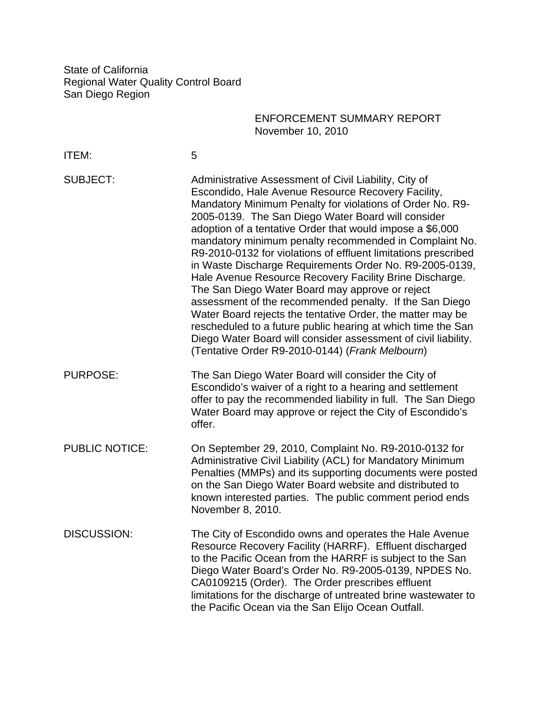State of California Regional Water Quality Control Board San Diego Region

## ENFORCEMENT SUMMARY REPORT November 10, 2010

| ITEM:                 | 5                                                                                                                                                                                                                                                                                                                                                                                                                                                                                                                                                                                                                                                                                                                                                                                                                                                                                                              |
|-----------------------|----------------------------------------------------------------------------------------------------------------------------------------------------------------------------------------------------------------------------------------------------------------------------------------------------------------------------------------------------------------------------------------------------------------------------------------------------------------------------------------------------------------------------------------------------------------------------------------------------------------------------------------------------------------------------------------------------------------------------------------------------------------------------------------------------------------------------------------------------------------------------------------------------------------|
| <b>SUBJECT:</b>       | Administrative Assessment of Civil Liability, City of<br>Escondido, Hale Avenue Resource Recovery Facility,<br>Mandatory Minimum Penalty for violations of Order No. R9-<br>2005-0139. The San Diego Water Board will consider<br>adoption of a tentative Order that would impose a \$6,000<br>mandatory minimum penalty recommended in Complaint No.<br>R9-2010-0132 for violations of effluent limitations prescribed<br>in Waste Discharge Requirements Order No. R9-2005-0139,<br>Hale Avenue Resource Recovery Facility Brine Discharge.<br>The San Diego Water Board may approve or reject<br>assessment of the recommended penalty. If the San Diego<br>Water Board rejects the tentative Order, the matter may be<br>rescheduled to a future public hearing at which time the San<br>Diego Water Board will consider assessment of civil liability.<br>(Tentative Order R9-2010-0144) (Frank Melbourn) |
| <b>PURPOSE:</b>       | The San Diego Water Board will consider the City of<br>Escondido's waiver of a right to a hearing and settlement<br>offer to pay the recommended liability in full. The San Diego<br>Water Board may approve or reject the City of Escondido's<br>offer.                                                                                                                                                                                                                                                                                                                                                                                                                                                                                                                                                                                                                                                       |
| <b>PUBLIC NOTICE:</b> | On September 29, 2010, Complaint No. R9-2010-0132 for<br>Administrative Civil Liability (ACL) for Mandatory Minimum<br>Penalties (MMPs) and its supporting documents were posted<br>on the San Diego Water Board website and distributed to<br>known interested parties. The public comment period ends<br>November 8, 2010.                                                                                                                                                                                                                                                                                                                                                                                                                                                                                                                                                                                   |
| <b>DISCUSSION:</b>    | The City of Escondido owns and operates the Hale Avenue<br>Resource Recovery Facility (HARRF). Effluent discharged<br>to the Pacific Ocean from the HARRF is subject to the San<br>Diego Water Board's Order No. R9-2005-0139, NPDES No.<br>CA0109215 (Order). The Order prescribes effluent<br>limitations for the discharge of untreated brine wastewater to<br>the Pacific Ocean via the San Elijo Ocean Outfall.                                                                                                                                                                                                                                                                                                                                                                                                                                                                                           |